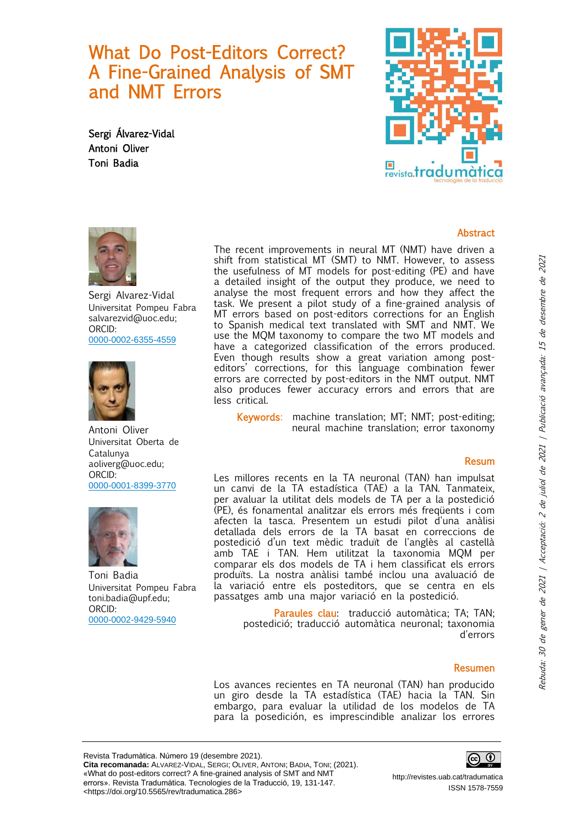What Do Post-Editors Correct? A Fine-Grained Analysis of SMT and NMT Errors

Sergi Álvarez-Vidal Antoni Oliver Toni Badia





Sergi Alvarez-Vidal Universitat Pompeu Fabra salvarezvid@uoc.edu; ORCID: [0000-0002-6355-4559](https://orcid.org/0000-0002-6355-4559)



Antoni Oliver Universitat Oberta de Catalunya aoliverg@uoc.edu; ORCID: [0000-0001-8399-3770](https://orcid.org/0000-0001-8399-3770)



Toni Badia Universitat Pompeu Fabra toni.badia@upf.edu; ORCID: [0000-0002-9429-5940](https://orcid.org/0000-0002-9429-5940)

The recent improvements in neural MT (NMT) have driven a shift from statistical MT (SMT) to NMT. However, to assess the usefulness of MT models for post-editing (PE) and have a detailed insight of the output they produce, we need to analyse the most frequent errors and how they affect the task. We present a pilot study of a fine-grained analysis of MT errors based on post-editors corrections for an English to Spanish medical text translated with SMT and NMT. We use the MQM taxonomy to compare the two MT models and have a categorized classification of the errors produced. Even though results show a great variation among posteditors' corrections, for this language combination fewer errors are corrected by post-editors in the NMT output. NMT also produces fewer accuracy errors and errors that are less critical.

Keywords: machine translation; MT; NMT; post-editing; neural machine translation; error taxonomy

### Resum

**Abstract** 

Les millores recents en la TA neuronal (TAN) han impulsat un canvi de la TA estadística (TAE) a la TAN. Tanmateix, per avaluar la utilitat dels models de TA per a la postedició (PE), és fonamental analitzar els errors més freqüents i com afecten la tasca. Presentem un estudi pilot d'una anàlisi detallada dels errors de la TA basat en correccions de postedició d'un text mèdic traduït de l'anglès al castellà amb TAE i TAN. Hem utilitzat la taxonomia MQM per comparar els dos models de TA i hem classificat els errors produïts. La nostra anàlisi també inclou una avaluació de la variació entre els posteditors, que se centra en els passatges amb una major variació en la postedició.

Paraules clau: traducció automàtica; TA; TAN; postedició; traducció automàtica neuronal; taxonomia d'errors

### Resumen

Los avances recientes en TA neuronal (TAN) han producido un giro desde la TA estadística (TAE) hacia la TAN. Sin embargo, para evaluar la utilidad de los modelos de TA para la posedición, es imprescindible analizar los errores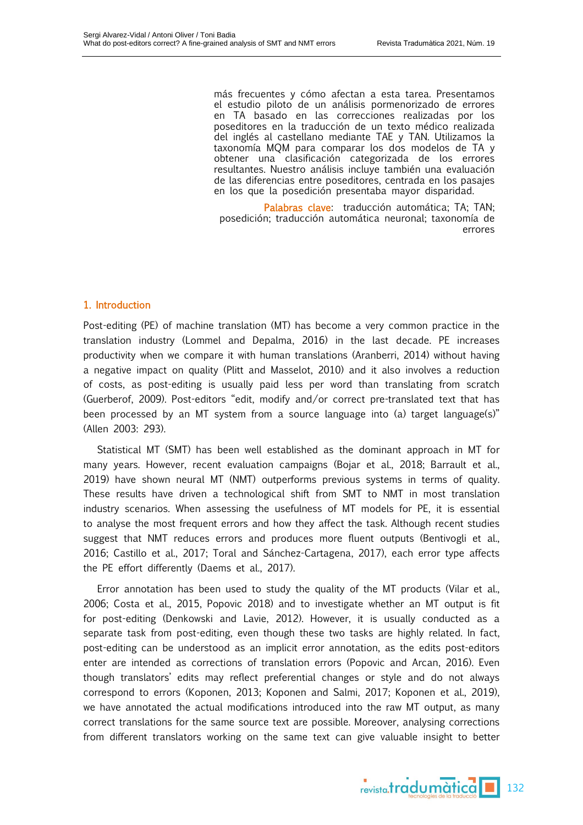más frecuentes y cómo afectan a esta tarea. Presentamos el estudio piloto de un análisis pormenorizado de errores en TA basado en las correcciones realizadas por los poseditores en la traducción de un texto médico realizada del inglés al castellano mediante TAE y TAN. Utilizamos la taxonomía MQM para comparar los dos modelos de TA y obtener una clasificación categorizada de los errores resultantes. Nuestro análisis incluye también una evaluación de las diferencias entre poseditores, centrada en los pasajes en los que la posedición presentaba mayor disparidad.

Palabras clave: traducción automática; TA; TAN; posedición; traducción automática neuronal; taxonomía de errores

# 1. Introduction

Post-editing (PE) of machine translation (MT) has become a very common practice in the translation industry (Lommel and Depalma, 2016) in the last decade. PE increases productivity when we compare it with human translations (Aranberri, 2014) without having a negative impact on quality (Plitt and Masselot, 2010) and it also involves a reduction of costs, as post-editing is usually paid less per word than translating from scratch (Guerberof, 2009). Post-editors "edit, modify and/or correct pre-translated text that has been processed by an MT system from a source language into (a) target language(s)" (Allen 2003: 293).

Statistical MT (SMT) has been well established as the dominant approach in MT for many years. However, recent evaluation campaigns (Bojar et al., 2018; Barrault et al., 2019) have shown neural MT (NMT) outperforms previous systems in terms of quality. These results have driven a technological shift from SMT to NMT in most translation industry scenarios. When assessing the usefulness of MT models for PE, it is essential to analyse the most frequent errors and how they affect the task. Although recent studies suggest that NMT reduces errors and produces more fluent outputs (Bentivogli et al., 2016; Castillo et al., 2017; Toral and Sánchez-Cartagena, 2017), each error type affects the PE effort differently (Daems et al., 2017).

Error annotation has been used to study the quality of the MT products (Vilar et al., 2006; Costa et al., 2015, Popovic 2018) and to investigate whether an MT output is fit for post-editing (Denkowski and Lavie, 2012). However, it is usually conducted as a separate task from post-editing, even though these two tasks are highly related. In fact, post-editing can be understood as an implicit error annotation, as the edits post-editors enter are intended as corrections of translation errors (Popovic and Arcan, 2016). Even though translators' edits may reflect preferential changes or style and do not always correspond to errors (Koponen, 2013; Koponen and Salmi, 2017; Koponen et al., 2019), we have annotated the actual modifications introduced into the raw MT output, as many correct translations for the same source text are possible. Moreover, analysing corrections from different translators working on the same text can give valuable insight to better

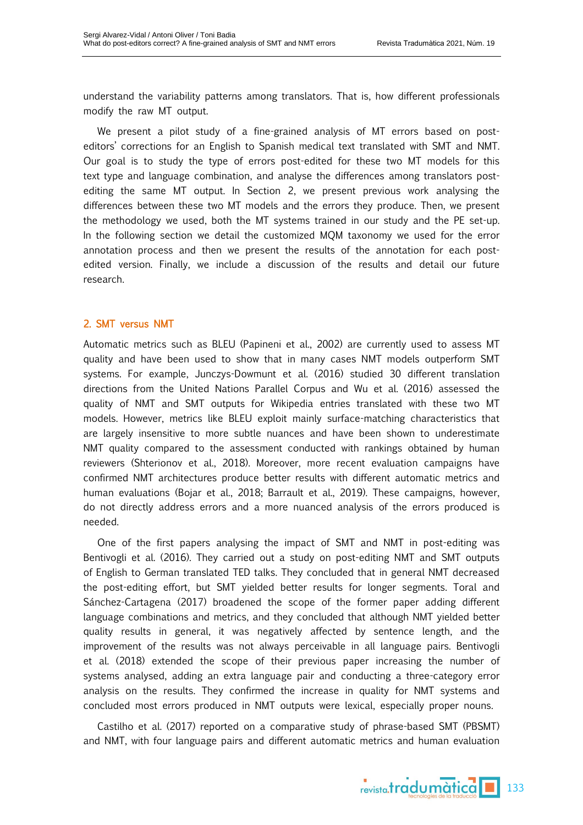understand the variability patterns among translators. That is, how different professionals modify the raw MT output.

We present a pilot study of a fine-grained analysis of MT errors based on posteditors' corrections for an English to Spanish medical text translated with SMT and NMT. Our goal is to study the type of errors post-edited for these two MT models for this text type and language combination, and analyse the differences among translators postediting the same MT output. In Section 2, we present previous work analysing the differences between these two MT models and the errors they produce. Then, we present the methodology we used, both the MT systems trained in our study and the PE set-up. In the following section we detail the customized MQM taxonomy we used for the error annotation process and then we present the results of the annotation for each postedited version. Finally, we include a discussion of the results and detail our future research.

## 2. SMT versus NMT

Automatic metrics such as BLEU (Papineni et al., 2002) are currently used to assess MT quality and have been used to show that in many cases NMT models outperform SMT systems. For example, Junczys-Dowmunt et al. (2016) studied 30 different translation directions from the United Nations Parallel Corpus and Wu et al. (2016) assessed the quality of NMT and SMT outputs for Wikipedia entries translated with these two MT models. However, metrics like BLEU exploit mainly surface-matching characteristics that are largely insensitive to more subtle nuances and have been shown to underestimate NMT quality compared to the assessment conducted with rankings obtained by human reviewers (Shterionov et al., 2018). Moreover, more recent evaluation campaigns have confirmed NMT architectures produce better results with different automatic metrics and human evaluations (Bojar et al., 2018; Barrault et al., 2019). These campaigns, however, do not directly address errors and a more nuanced analysis of the errors produced is needed.

One of the first papers analysing the impact of SMT and NMT in post-editing was Bentivogli et al. (2016). They carried out a study on post-editing NMT and SMT outputs of English to German translated TED talks. They concluded that in general NMT decreased the post-editing effort, but SMT yielded better results for longer segments. Toral and Sánchez-Cartagena (2017) broadened the scope of the former paper adding different language combinations and metrics, and they concluded that although NMT yielded better quality results in general, it was negatively affected by sentence length, and the improvement of the results was not always perceivable in all language pairs. Bentivogli et al. (2018) extended the scope of their previous paper increasing the number of systems analysed, adding an extra language pair and conducting a three-category error analysis on the results. They confirmed the increase in quality for NMT systems and concluded most errors produced in NMT outputs were lexical, especially proper nouns.

Castilho et al. (2017) reported on a comparative study of phrase-based SMT (PBSMT) and NMT, with four language pairs and different automatic metrics and human evaluation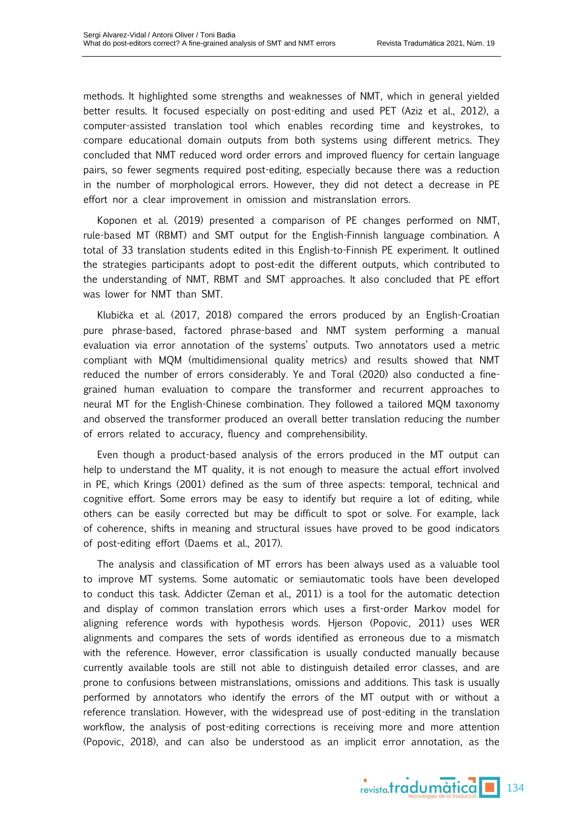methods. It highlighted some strengths and weaknesses of NMT, which in general yielded better results. It focused especially on post-editing and used PET (Aziz et al., 2012), a computer-assisted translation tool which enables recording time and keystrokes, to compare educational domain outputs from both systems using different metrics. They concluded that NMT reduced word order errors and improved fluency for certain language pairs, so fewer segments required post-editing, especially because there was a reduction in the number of morphological errors. However, they did not detect a decrease in PE effort nor a clear improvement in omission and mistranslation errors.

Koponen et al. (2019) presented a comparison of PE changes performed on NMT, rule-based MT (RBMT) and SMT output for the English-Finnish language combination. A total of 33 translation students edited in this English-to-Finnish PE experiment. It outlined the strategies participants adopt to post-edit the different outputs, which contributed to the understanding of NMT, RBMT and SMT approaches. It also concluded that PE effort was lower for NMT than SMT.

Klubička et al. (2017, 2018) compared the errors produced by an English-Croatian pure phrase-based, factored phrase-based and NMT system performing a manual evaluation via error annotation of the systems' outputs. Two annotators used a metric compliant with MQM (multidimensional quality metrics) and results showed that NMT reduced the number of errors considerably. Ye and Toral (2020) also conducted a finegrained human evaluation to compare the transformer and recurrent approaches to neural MT for the English-Chinese combination. They followed a tailored MQM taxonomy and observed the transformer produced an overall better translation reducing the number of errors related to accuracy, fluency and comprehensibility.

Even though a product-based analysis of the errors produced in the MT output can help to understand the MT quality, it is not enough to measure the actual effort involved in PE, which Krings (2001) defined as the sum of three aspects: temporal, technical and cognitive effort. Some errors may be easy to identify but require a lot of editing, while others can be easily corrected but may be difficult to spot or solve. For example, lack of coherence, shifts in meaning and structural issues have proved to be good indicators of post-editing effort (Daems et al., 2017).

The analysis and classification of MT errors has been always used as a valuable tool to improve MT systems. Some automatic or semiautomatic tools have been developed to conduct this task. Addicter (Zeman et al., 2011) is a tool for the automatic detection and display of common translation errors which uses a first-order Markov model for aligning reference words with hypothesis words. Hjerson (Popovic, 2011) uses WER alignments and compares the sets of words identified as erroneous due to a mismatch with the reference. However, error classification is usually conducted manually because currently available tools are still not able to distinguish detailed error classes, and are prone to confusions between mistranslations, omissions and additions. This task is usually performed by annotators who identify the errors of the MT output with or without a reference translation. However, with the widespread use of post-editing in the translation workflow, the analysis of post-editing corrections is receiving more and more attention (Popovic, 2018), and can also be understood as an implicit error annotation, as the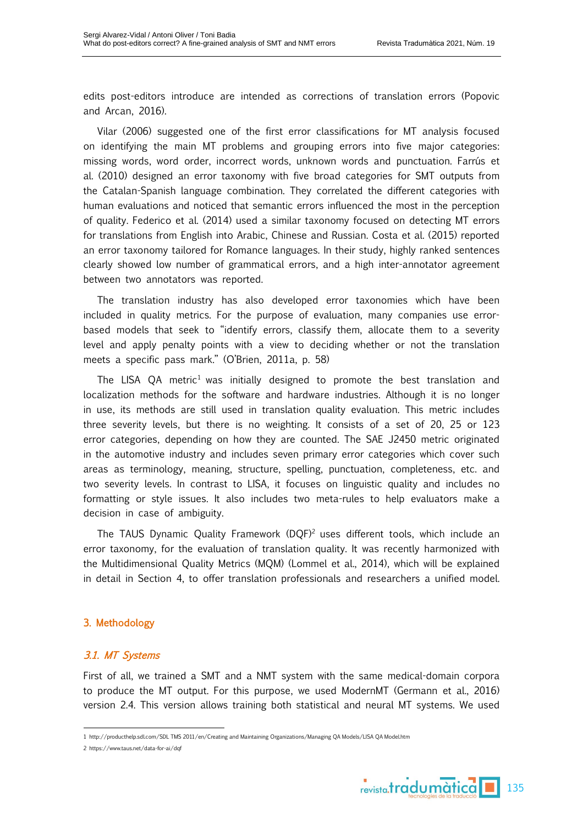edits post-editors introduce are intended as corrections of translation errors (Popovic and Arcan, 2016).

Vilar (2006) suggested one of the first error classifications for MT analysis focused on identifying the main MT problems and grouping errors into five major categories: missing words, word order, incorrect words, unknown words and punctuation. Farrús et al. (2010) designed an error taxonomy with five broad categories for SMT outputs from the Catalan-Spanish language combination. They correlated the different categories with human evaluations and noticed that semantic errors influenced the most in the perception of quality. Federico et al. (2014) used a similar taxonomy focused on detecting MT errors for translations from English into Arabic, Chinese and Russian. Costa et al. (2015) reported an error taxonomy tailored for Romance languages. In their study, highly ranked sentences clearly showed low number of grammatical errors, and a high inter-annotator agreement between two annotators was reported.

The translation industry has also developed error taxonomies which have been included in quality metrics. For the purpose of evaluation, many companies use errorbased models that seek to "identify errors, classify them, allocate them to a severity level and apply penalty points with a view to deciding whether or not the translation meets a specific pass mark." (O'Brien, 2011a, p. 58)

The LISA QA metric<sup>1</sup> was initially designed to promote the best translation and localization methods for the software and hardware industries. Although it is no longer in use, its methods are still used in translation quality evaluation. This metric includes three severity levels, but there is no weighting. It consists of a set of 20, 25 or 123 error categories, depending on how they are counted. The SAE J2450 metric originated in the automotive industry and includes seven primary error categories which cover such areas as terminology, meaning, structure, spelling, punctuation, completeness, etc. and two severity levels. In contrast to LISA, it focuses on linguistic quality and includes no formatting or style issues. It also includes two meta-rules to help evaluators make a decision in case of ambiguity.

The TAUS Dynamic Quality Framework (DQF)<sup>2</sup> uses different tools, which include an error taxonomy, for the evaluation of translation quality. It was recently harmonized with the Multidimensional Quality Metrics (MQM) (Lommel et al., 2014), which will be explained in detail in Section 4, to offer translation professionals and researchers a unified model.

## 3. Methodology

### 3.1. MT Systems

First of all, we trained a SMT and a NMT system with the same medical-domain corpora to produce the MT output. For this purpose, we used ModernMT (Germann et al., 2016) version 2.4. This version allows training both statistical and neural MT systems. We used



<sup>1</sup> http://producthelp.sdl.com/SDL TMS 2011/en/Creating and Maintaining Organizations/Managing QA Models/LISA QA Model.htm

<sup>2</sup> https://www.taus.net/data-for-ai/dqf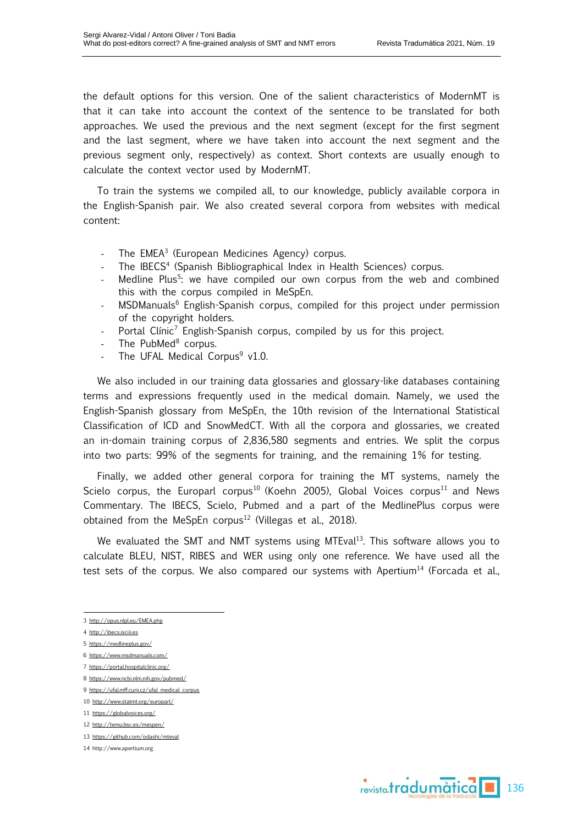the default options for this version. One of the salient characteristics of ModernMT is that it can take into account the context of the sentence to be translated for both approaches. We used the previous and the next segment (except for the first segment and the last segment, where we have taken into account the next segment and the previous segment only, respectively) as context. Short contexts are usually enough to calculate the context vector used by ModernMT.

To train the systems we compiled all, to our knowledge, publicly available corpora in the English-Spanish pair. We also created several corpora from websites with medical content:

- The EMEA<sup>3</sup> (European Medicines Agency) corpus.
- The IBECS<sup>4</sup> (Spanish Bibliographical Index in Health Sciences) corpus.
- Medline Plus<sup>5</sup>: we have compiled our own corpus from the web and combined this with the corpus compiled in MeSpEn.
- MSDManuals<sup>6</sup> English-Spanish corpus, compiled for this project under permission of the copyright holders.
- Portal Clínic<sup>7</sup> English-Spanish corpus, compiled by us for this project.
- The PubMed<sup>8</sup> corpus.
- The UFAL Medical Corpus<sup>9</sup> v1.0.

We also included in our training data glossaries and glossary-like databases containing terms and expressions frequently used in the medical domain. Namely, we used the English-Spanish glossary from MeSpEn, the 10th revision of the International Statistical Classification of ICD and SnowMedCT. With all the corpora and glossaries, we created an in-domain training corpus of 2,836,580 segments and entries. We split the corpus into two parts: 99% of the segments for training, and the remaining 1% for testing.

Finally, we added other general corpora for training the MT systems, namely the Scielo corpus, the Europarl corpus<sup>10</sup> (Koehn 2005), Global Voices corpus<sup>11</sup> and News Commentary. The IBECS, Scielo, Pubmed and a part of the MedlinePlus corpus were obtained from the MeSpEn corpus<sup>12</sup> (Villegas et al., 2018).

We evaluated the SMT and NMT systems using MTEval<sup>13</sup>. This software allows you to calculate BLEU, NIST, RIBES and WER using only one reference. We have used all the test sets of the corpus. We also compared our systems with Apertium<sup>14</sup> (Forcada et al.,

- 4 [http://ibecs.isciii.es](http://ibecs.isciii.es/)
- 5 <https://medlineplus.gov/>
- 6 <https://www.msdmanuals.com/>
- 7 <https://portal.hospitalclinic.org/>
- 8 <https://www.ncbi.nlm.nih.gov/pubmed/>
- 9 [https://ufal.mff.cuni.cz/ufal\\_medical\\_corpus](https://ufal.mff.cuni.cz/ufal_medical_corpus)
- 10 <http://www.statmt.org/europarl/>
- 11 <https://globalvoices.org/>
- 12 <http://temu.bsc.es/mespen/>
- 13 <https://github.com/odashi/mteval>
- 14 [http://www.apertium.org](http://www.apertium.org/)



<sup>3</sup> <http://opus.nlpl.eu/EMEA.php>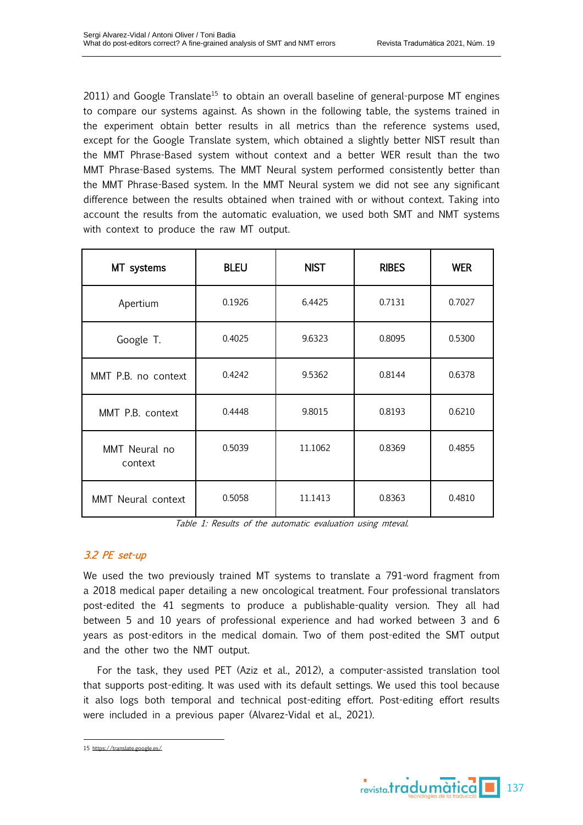$2011$ ) and Google Translate<sup>15</sup> to obtain an overall baseline of general-purpose MT engines to compare our systems against. As shown in the following table, the systems trained in the experiment obtain better results in all metrics than the reference systems used, except for the Google Translate system, which obtained a slightly better NIST result than the MMT Phrase-Based system without context and a better WER result than the two MMT Phrase-Based systems. The MMT Neural system performed consistently better than the MMT Phrase-Based system. In the MMT Neural system we did not see any significant difference between the results obtained when trained with or without context. Taking into account the results from the automatic evaluation, we used both SMT and NMT systems with context to produce the raw MT output.

| MT systems               | <b>BLEU</b> | <b>NIST</b> | <b>RIBES</b> | <b>WER</b> |
|--------------------------|-------------|-------------|--------------|------------|
| Apertium                 | 0.1926      | 6.4425      | 0.7131       | 0.7027     |
| Google T.                | 0.4025      | 9.6323      | 0.8095       | 0.5300     |
| MMT P.B. no context      | 0.4242      | 9.5362      | 0.8144       | 0.6378     |
| MMT P.B. context         | 0.4448      | 9.8015      | 0.8193       | 0.6210     |
| MMT Neural no<br>context | 0.5039      | 11.1062     | 0.8369       | 0.4855     |
| MMT Neural context       | 0.5058      | 11.1413     | 0.8363       | 0.4810     |

Table 1: Results of the automatic evaluation using mteval.

# 3.2 PE set-up

We used the two previously trained MT systems to translate a 791-word fragment from a 2018 medical paper detailing a new oncological treatment. Four professional translators post-edited the 41 segments to produce a publishable-quality version. They all had between 5 and 10 years of professional experience and had worked between 3 and 6 years as post-editors in the medical domain. Two of them post-edited the SMT output and the other two the NMT output.

For the task, they used PET (Aziz et al., 2012), a computer-assisted translation tool that supports post-editing. It was used with its default settings. We used this tool because it also logs both temporal and technical post-editing effort. Post-editing effort results were included in a previous paper (Alvarez-Vidal et al., 2021).



<sup>15</sup> <https://translate.google.es/>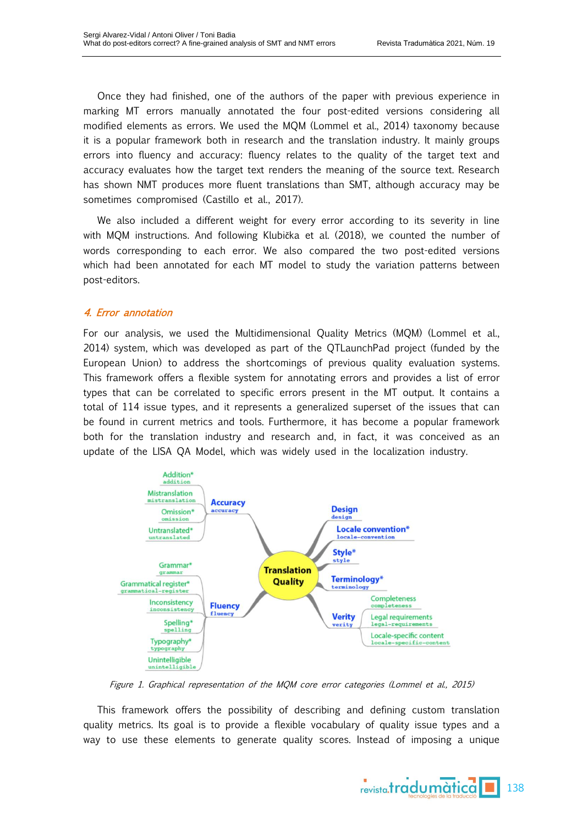Once they had finished, one of the authors of the paper with previous experience in marking MT errors manually annotated the four post-edited versions considering all modified elements as errors. We used the MQM (Lommel et al., 2014) taxonomy because it is a popular framework both in research and the translation industry. It mainly groups errors into fluency and accuracy: fluency relates to the quality of the target text and accuracy evaluates how the target text renders the meaning of the source text. Research has shown NMT produces more fluent translations than SMT, although accuracy may be sometimes compromised (Castillo et al., 2017).

We also included a different weight for every error according to its severity in line with MQM instructions. And following Klubička et al. (2018), we counted the number of words corresponding to each error. We also compared the two post-edited versions which had been annotated for each MT model to study the variation patterns between post-editors.

# 4. Error annotation

For our analysis, we used the Multidimensional Quality Metrics (MQM) (Lommel et al., 2014) system, which was developed as part of the QTLaunchPad project (funded by the European Union) to address the shortcomings of previous quality evaluation systems. This framework offers a flexible system for annotating errors and provides a list of error types that can be correlated to specific errors present in the MT output. It contains a total of 114 issue types, and it represents a generalized superset of the issues that can be found in current metrics and tools. Furthermore, it has become a popular framework both for the translation industry and research and, in fact, it was conceived as an update of the LISA QA Model, which was widely used in the localization industry.



Figure 1. Graphical representation of the MQM core error categories (Lommel et al., 2015)

This framework offers the possibility of describing and defining custom translation quality metrics. Its goal is to provide a flexible vocabulary of quality issue types and a way to use these elements to generate quality scores. Instead of imposing a unique

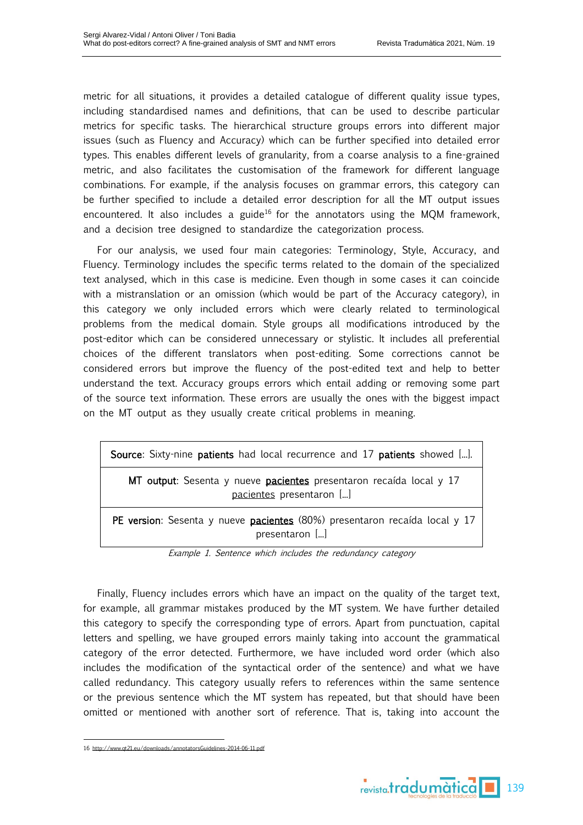metric for all situations, it provides a detailed catalogue of different quality issue types, including standardised names and definitions, that can be used to describe particular metrics for specific tasks. The hierarchical structure groups errors into different major issues (such as Fluency and Accuracy) which can be further specified into detailed error types. This enables different levels of granularity, from a coarse analysis to a fine-grained metric, and also facilitates the customisation of the framework for different language combinations. For example, if the analysis focuses on grammar errors, this category can be further specified to include a detailed error description for all the MT output issues encountered. It also includes a guide<sup>16</sup> for the annotators using the MQM framework, and a decision tree designed to standardize the categorization process.

For our analysis, we used four main categories: Terminology, Style, Accuracy, and Fluency. Terminology includes the specific terms related to the domain of the specialized text analysed, which in this case is medicine. Even though in some cases it can coincide with a mistranslation or an omission (which would be part of the Accuracy category), in this category we only included errors which were clearly related to terminological problems from the medical domain. Style groups all modifications introduced by the post-editor which can be considered unnecessary or stylistic. It includes all preferential choices of the different translators when post-editing. Some corrections cannot be considered errors but improve the fluency of the post-edited text and help to better understand the text. Accuracy groups errors which entail adding or removing some part of the source text information. These errors are usually the ones with the biggest impact on the MT output as they usually create critical problems in meaning.

| Source: Sixty-nine patients had local recurrence and 17 patients showed [].                     |  |  |  |  |
|-------------------------------------------------------------------------------------------------|--|--|--|--|
| MT output: Sesenta y nueve pacientes presentaron recaída local y 17<br>pacientes presentaron [] |  |  |  |  |
| PE version: Sesenta y nueve pacientes (80%) presentaron recaída local y 17<br>presentaron []    |  |  |  |  |

Example 1. Sentence which includes the redundancy category

Finally, Fluency includes errors which have an impact on the quality of the target text, for example, all grammar mistakes produced by the MT system. We have further detailed this category to specify the corresponding type of errors. Apart from punctuation, capital letters and spelling, we have grouped errors mainly taking into account the grammatical category of the error detected. Furthermore, we have included word order (which also includes the modification of the syntactical order of the sentence) and what we have called redundancy. This category usually refers to references within the same sentence or the previous sentence which the MT system has repeated, but that should have been omitted or mentioned with another sort of reference. That is, taking into account the

<sup>16</sup> <http://www.qt21.eu/downloads/annotatorsGuidelines-2014-06-11.pdf>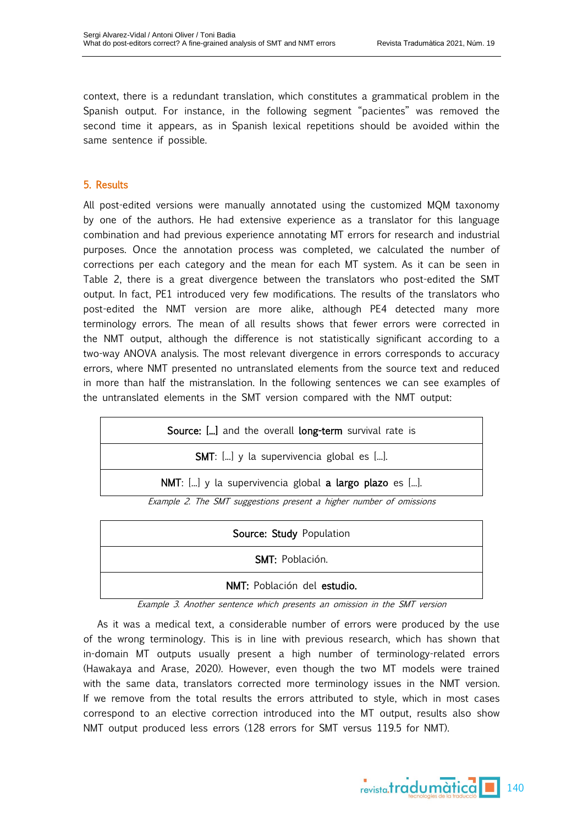context, there is a redundant translation, which constitutes a grammatical problem in the Spanish output. For instance, in the following segment "pacientes" was removed the second time it appears, as in Spanish lexical repetitions should be avoided within the same sentence if possible.

## 5. Results

All post-edited versions were manually annotated using the customized MQM taxonomy by one of the authors. He had extensive experience as a translator for this language combination and had previous experience annotating MT errors for research and industrial purposes. Once the annotation process was completed, we calculated the number of corrections per each category and the mean for each MT system. As it can be seen in Table 2, there is a great divergence between the translators who post-edited the SMT output. In fact, PE1 introduced very few modifications. The results of the translators who post-edited the NMT version are more alike, although PE4 detected many more terminology errors. The mean of all results shows that fewer errors were corrected in the NMT output, although the difference is not statistically significant according to a two-way ANOVA analysis. The most relevant divergence in errors corresponds to accuracy errors, where NMT presented no untranslated elements from the source text and reduced in more than half the mistranslation. In the following sentences we can see examples of the untranslated elements in the SMT version compared with the NMT output:

| <b>Source:</b> [] and the overall <b>long-term</b> survival rate is |  |  |  |  |
|---------------------------------------------------------------------|--|--|--|--|
| <b>SMT</b> : [] y la supervivencia global es [].                    |  |  |  |  |
| NMT: [] y la supervivencia global a largo plazo es [].              |  |  |  |  |

Example 2. The SMT suggestions present <sup>a</sup> higher number of omissions

| Source: Study Population    |  |  |  |
|-----------------------------|--|--|--|
| <b>SMT: Población.</b>      |  |  |  |
| NMT: Población del estudio. |  |  |  |

Example 3. Another sentence which presents an omission in the SMT version

As it was a medical text, a considerable number of errors were produced by the use of the wrong terminology. This is in line with previous research, which has shown that in-domain MT outputs usually present a high number of terminology-related errors (Hawakaya and Arase, 2020). However, even though the two MT models were trained with the same data, translators corrected more terminology issues in the NMT version. If we remove from the total results the errors attributed to style, which in most cases correspond to an elective correction introduced into the MT output, results also show NMT output produced less errors (128 errors for SMT versus 119.5 for NMT).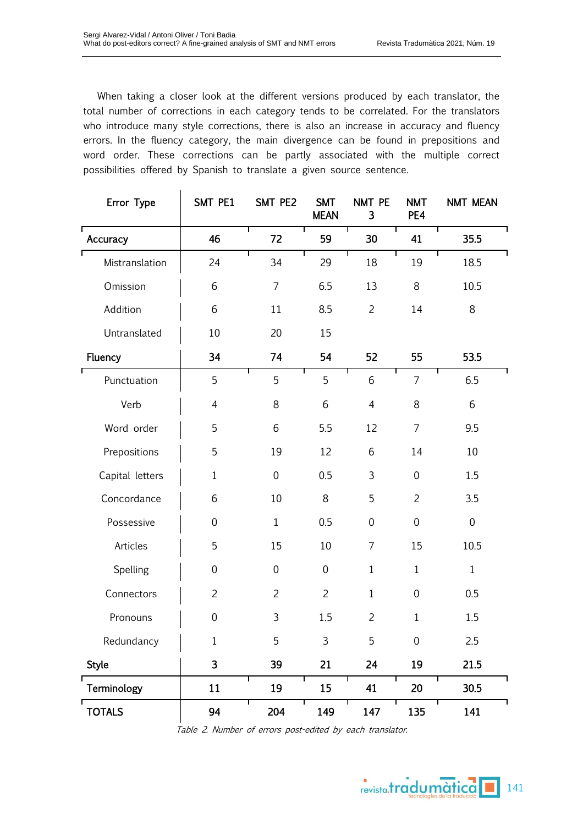When taking a closer look at the different versions produced by each translator, the total number of corrections in each category tends to be correlated. For the translators who introduce many style corrections, there is also an increase in accuracy and fluency errors. In the fluency category, the main divergence can be found in prepositions and word order. These corrections can be partly associated with the multiple correct possibilities offered by Spanish to translate a given source sentence.

| Error Type      | SMT PE1                 | SMT PE2        | <b>SMT</b><br><b>MEAN</b> | NMT PE<br>3    | <b>NMT</b><br>PE4 | <b>NMT MEAN</b> |
|-----------------|-------------------------|----------------|---------------------------|----------------|-------------------|-----------------|
| Accuracy        | 46                      | Τ<br>72        | 59                        | 30             | 41                | Т<br>35.5       |
| Mistranslation  | 24                      | 34             | 29                        | 18             | 19                | 18.5            |
| Omission        | 6                       | $\overline{7}$ | 6.5                       | 13             | 8                 | 10.5            |
| Addition        | 6                       | 11             | 8.5                       | $\overline{2}$ | 14                | 8               |
| Untranslated    | 10                      | 20             | 15                        |                |                   |                 |
| Fluency         | 34                      | 74             | 54                        | 52             | 55                | 53.5            |
| Punctuation     | 5                       | Τ<br>5         | 5                         | 6              | $\overline{7}$    | 6.5             |
| Verb            | $\overline{4}$          | 8              | 6                         | $\overline{4}$ | 8                 | 6               |
| Word order      | 5                       | 6              | 5.5                       | 12             | $\overline{7}$    | 9.5             |
| Prepositions    | 5                       | 19             | 12                        | 6              | 14                | 10              |
| Capital letters | $\mathbf{1}$            | $\overline{0}$ | 0.5                       | $\mathbf{3}$   | $\overline{0}$    | 1.5             |
| Concordance     | 6                       | 10             | 8                         | 5              | $\overline{2}$    | 3.5             |
| Possessive      | $\overline{0}$          | $\mathbf{1}$   | 0.5                       | $\overline{0}$ | $\overline{0}$    | $\mathbf 0$     |
| Articles        | 5                       | 15             | 10                        | $\overline{7}$ | 15                | 10.5            |
| Spelling        | $\overline{0}$          | $\mathbf 0$    | $\overline{0}$            | $\mathbf{1}$   | $\mathbf{1}$      | $\mathbf{1}$    |
| Connectors      | $\overline{2}$          | $\overline{2}$ | $\overline{2}$            | $\mathbf{1}$   | $\overline{0}$    | 0.5             |
| Pronouns        | $\overline{0}$          | 3              | 1.5                       | $\overline{2}$ | $\mathbf{1}$      | 1.5             |
| Redundancy      | $\mathbf{1}$            | 5              | 3                         | 5              | $\mathbf 0$       | 2.5             |
| <b>Style</b>    | $\overline{\mathbf{3}}$ | 39             | 21                        | 24             | 19                | 21.5            |
| Terminology     | 11                      | Τ<br>19        | 15                        | 41             | 20                | Т<br>30.5       |
| <b>TOTALS</b>   | 94                      | 204            | 149                       | 147            | 135               | 141             |

Table 2. Number of errors post-edited by each translator.

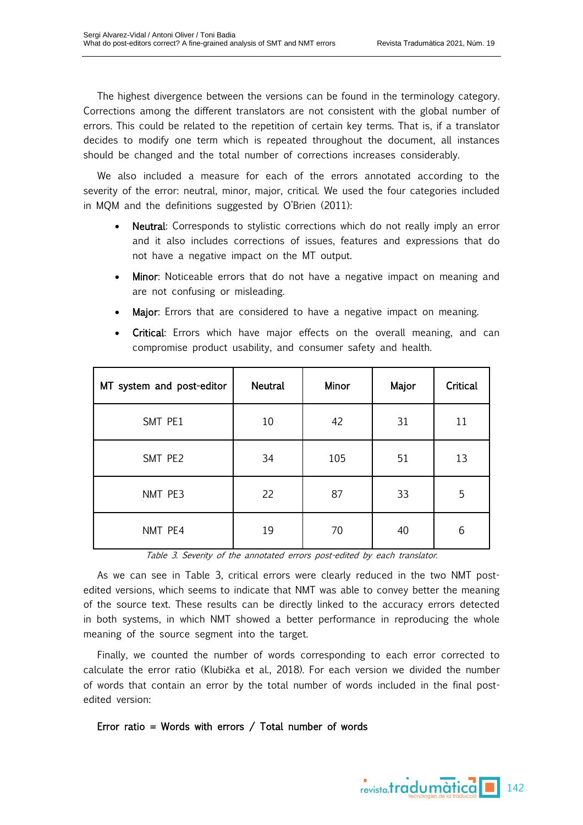The highest divergence between the versions can be found in the terminology category. Corrections among the different translators are not consistent with the global number of errors. This could be related to the repetition of certain key terms. That is, if a translator decides to modify one term which is repeated throughout the document, all instances should be changed and the total number of corrections increases considerably.

We also included a measure for each of the errors annotated according to the severity of the error: neutral, minor, major, critical. We used the four categories included in MQM and the definitions suggested by O'Brien (2011):

- Neutral: Corresponds to stylistic corrections which do not really imply an error and it also includes corrections of issues, features and expressions that do not have a negative impact on the MT output.
- Minor: Noticeable errors that do not have a negative impact on meaning and are not confusing or misleading.
- **Major:** Errors that are considered to have a negative impact on meaning.

| MT system and post-editor | <b>Neutral</b> | Minor | Major | Critical |
|---------------------------|----------------|-------|-------|----------|
| SMT PE1                   | 10             | 42    | 31    | 11       |
| SMT PE2                   | 34             | 105   | 51    | 13       |
| NMT PE3                   | 22             | 87    | 33    | 5        |
| NMT PE4                   | 19             | 70    | 40    | 6        |

**Critical:** Errors which have major effects on the overall meaning, and can compromise product usability, and consumer safety and health.

Table 3. Severity of the annotated errors post-edited by each translator.

As we can see in Table 3, critical errors were clearly reduced in the two NMT postedited versions, which seems to indicate that NMT was able to convey better the meaning of the source text. These results can be directly linked to the accuracy errors detected in both systems, in which NMT showed a better performance in reproducing the whole meaning of the source segment into the target.

Finally, we counted the number of words corresponding to each error corrected to calculate the error ratio (Klubička et al., 2018). For each version we divided the number of words that contain an error by the total number of words included in the final postedited version:

## Error ratio = Words with errors / Total number of words

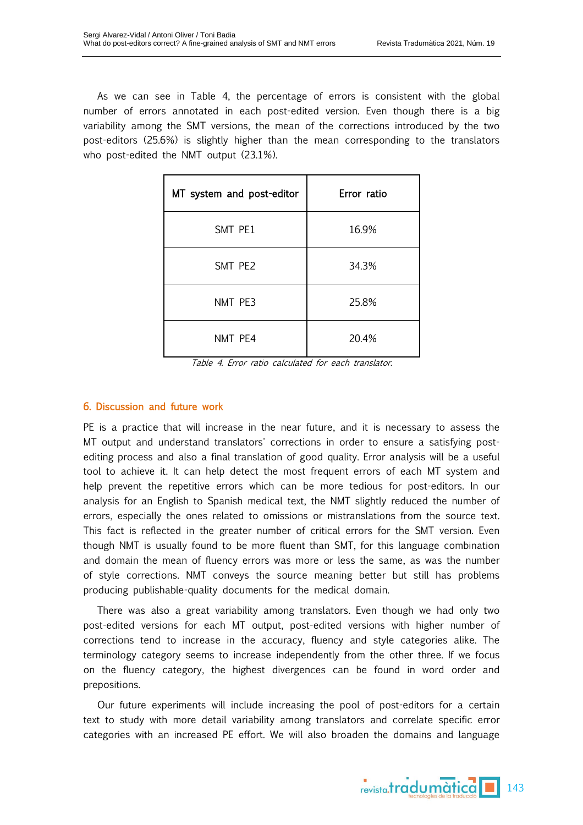As we can see in Table 4, the percentage of errors is consistent with the global number of errors annotated in each post-edited version. Even though there is a big variability among the SMT versions, the mean of the corrections introduced by the two post-editors (25.6%) is slightly higher than the mean corresponding to the translators who post-edited the NMT output (23.1%).

| MT system and post-editor | Error ratio |  |  |
|---------------------------|-------------|--|--|
| SMT PE1                   | 16.9%       |  |  |
| SMT PE2                   | 34.3%       |  |  |
| NMT PE3                   | 25.8%       |  |  |
| NMT PE4                   | 20.4%       |  |  |

Table 4. Error ratio calculated for each translator.

## 6. Discussion and future work

PE is a practice that will increase in the near future, and it is necessary to assess the MT output and understand translators' corrections in order to ensure a satisfying postediting process and also a final translation of good quality. Error analysis will be a useful tool to achieve it. It can help detect the most frequent errors of each MT system and help prevent the repetitive errors which can be more tedious for post-editors. In our analysis for an English to Spanish medical text, the NMT slightly reduced the number of errors, especially the ones related to omissions or mistranslations from the source text. This fact is reflected in the greater number of critical errors for the SMT version. Even though NMT is usually found to be more fluent than SMT, for this language combination and domain the mean of fluency errors was more or less the same, as was the number of style corrections. NMT conveys the source meaning better but still has problems producing publishable-quality documents for the medical domain.

There was also a great variability among translators. Even though we had only two post-edited versions for each MT output, post-edited versions with higher number of corrections tend to increase in the accuracy, fluency and style categories alike. The terminology category seems to increase independently from the other three. If we focus on the fluency category, the highest divergences can be found in word order and prepositions.

Our future experiments will include increasing the pool of post-editors for a certain text to study with more detail variability among translators and correlate specific error categories with an increased PE effort. We will also broaden the domains and language

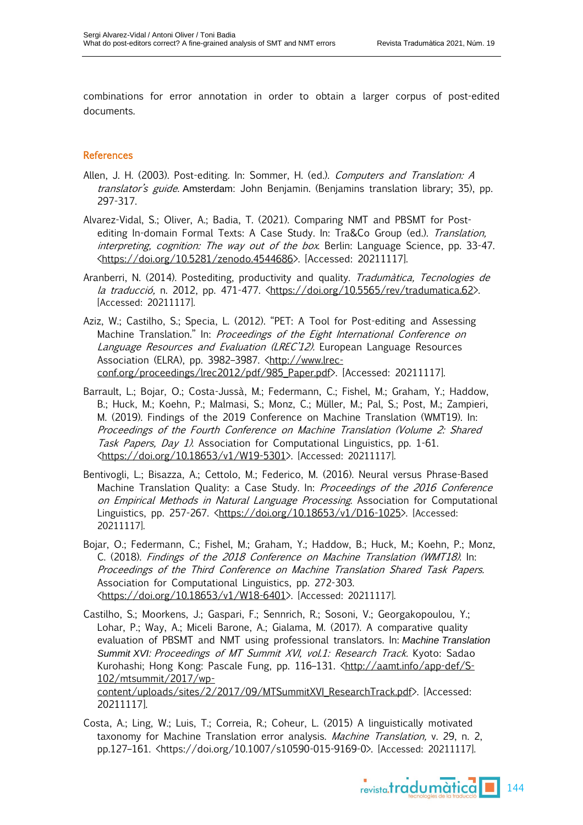combinations for error annotation in order to obtain a larger corpus of post-edited documents.

# **References**

- Allen, J. H. (2003). Post-editing. In: Sommer, H. (ed.). Computers and Translation: A translator's guide. Amsterdam: John Benjamin. (Benjamins translation library; 35), pp. 297-317.
- Alvarez-Vidal, S.; Oliver, A.; Badia, T. (2021). Comparing NMT and PBSMT for Postediting In-domain Formal Texts: A Case Study. In: Tra&Co Group (ed.). Translation, interpreting, cognition: The way out of the box. Berlin: Language Science, pp. 33-47. [<https://doi.org/10.5281/zenodo.4544686>](https://doi.org/10.5281/zenodo.4544686). [Accessed: 20211117].
- Aranberri, N. (2014). Postediting, productivity and quality. Tradumàtica, Tecnologies de la traducció, n. 2012, pp. 471-477.  $\frac{\hbar}{\hbar}$  / doi.org/10.5565/rev/tradumatica.62>. [Accessed: 20211117].
- Aziz, W.; Castilho, S.; Specia, L. (2012). "PET: A Tool for Post-editing and Assessing Machine Translation." In: Proceedings of the Eight International Conference on Language Resources and Evaluation (LREC'12). European Language Resources Association (ELRA), pp. 3982-3987. [<http://www.lrec](http://www.lrec-conf.org/proceedings/lrec2012/pdf/985_Paper.pdf)[conf.org/proceedings/lrec2012/pdf/985\\_Paper.pdf>](http://www.lrec-conf.org/proceedings/lrec2012/pdf/985_Paper.pdf). [Accessed: 20211117].
- Barrault, L.; Bojar, O.; Costa-Jussà, M.; Federmann, C.; Fishel, M.; Graham, Y.; Haddow, B.; Huck, M.; Koehn, P.; Malmasi, S.; Monz, C.; Müller, M.; Pal, S.; Post, M.; Zampieri, M. (2019). Findings of the 2019 Conference on Machine Translation (WMT19). In: Proceedings of the Fourth Conference on Machine Translation (Volume 2: Shared Task Papers, Day 1). Association for Computational Linguistics, pp. 1-61. [<https://doi.org/10.18653/v1/W19-5301>](https://doi.org/10.18653/v1/W19-5301). [Accessed: 20211117].
- Bentivogli, L.; Bisazza, A.; Cettolo, M.; Federico, M. (2016). Neural versus Phrase-Based Machine Translation Quality: a Case Study. In: Proceedings of the 2016 Conference on Empirical Methods in Natural Language Processing. Association for Computational Linguistics, pp. 257-267. [<https://doi.org/10.18653/v1/D16-1025>](https://doi.org/10.18653/v1/D16-1025). [Accessed: 20211117].
- Bojar, O.; Federmann, C.; Fishel, M.; Graham, Y.; Haddow, B.; Huck, M.; Koehn, P.; Monz, C. (2018). Findings of the 2018 Conference on Machine Translation (WMT18). In: Proceedings of the Third Conference on Machine Translation Shared Task Papers. Association for Computational Linguistics, pp. 272-303. [<https://doi.org/10.18653/v1/W18-6401>](https://doi.org/10.18653/v1/W18-6401). [Accessed: 20211117].
- Castilho, S.; Moorkens, J.; Gaspari, F.; Sennrich, R.; Sosoni, V.; Georgakopoulou, Y.; Lohar, P.; Way, A.; Miceli Barone, A.; Gialama, M. (2017). A comparative quality evaluation of PBSMT and NMT using professional translators. In: *Machine Translation Summit XVI:* Proceedings of MT Summit XVI, vol.1: Research Track. Kyoto: Sadao Kurohashi; Hong Kong: Pascale Fung, pp. 116-131. [<http://aamt.info/app-def/S-](http://aamt.info/app-def/S-102/mtsummit/2017/wp-content/uploads/sites/2/2017/09/MTSummitXVI_ResearchTrack.pdf)[102/mtsummit/2017/wp](http://aamt.info/app-def/S-102/mtsummit/2017/wp-content/uploads/sites/2/2017/09/MTSummitXVI_ResearchTrack.pdf)[content/uploads/sites/2/2017/09/MTSummitXVI\\_ResearchTrack.pdf>](http://aamt.info/app-def/S-102/mtsummit/2017/wp-content/uploads/sites/2/2017/09/MTSummitXVI_ResearchTrack.pdf). [Accessed: 20211117].
- Costa, A.; Ling, W.; Luis, T.; Correia, R.; Coheur, L. (2015) A linguistically motivated taxonomy for Machine Translation error analysis. Machine Translation, v. 29, n. 2, pp.127–161. <https://doi.org/10.1007/s10590-015-9169-0>. [Accessed: 20211117].

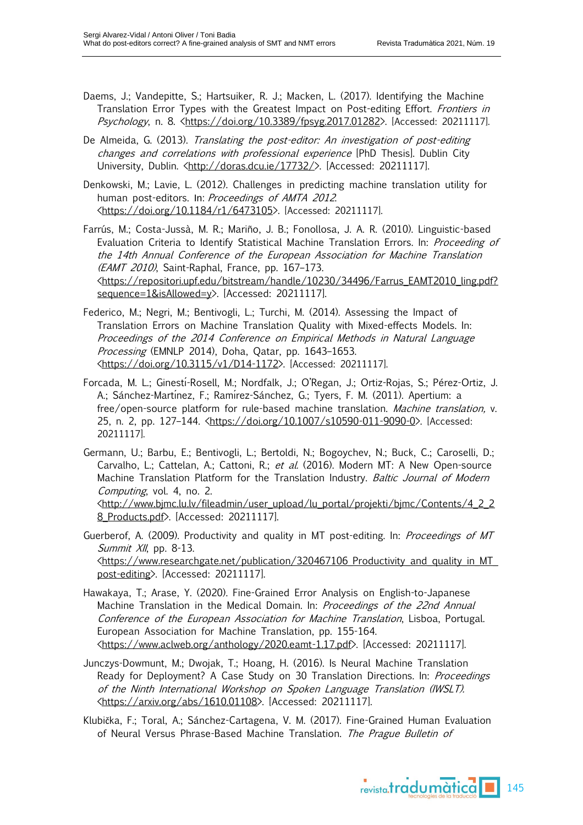- Daems, J.; Vandepitte, S.; Hartsuiker, R. J.; Macken, L. (2017). Identifying the Machine Translation Error Types with the Greatest Impact on Post-editing Effort. Frontiers in Psychology, n. 8. [<https://doi.org/10.3389/fpsyg.2017.01282>](https://doi.org/10.3389/fpsyg.2017.01282). [Accessed: 20211117].
- De Almeida, G. (2013). Translating the post-editor: An investigation of post-editing changes and correlations with professional experience [PhD Thesis]. Dublin City University, Dublin. [<http://doras.dcu.ie/17732/>](http://doras.dcu.ie/17732/). [Accessed: 20211117].
- Denkowski, M.; Lavie, L. (2012). Challenges in predicting machine translation utility for human post-editors. In: Proceedings of AMTA 2012. [<https://doi.org/10.1184/r1/6473105>](https://doi.org/10.1184/r1/6473105). [Accessed: 20211117].
- Farrús, M.; Costa-Jussà, M. R.; Mariño, J. B.; Fonollosa, J. A. R. (2010). Linguistic-based Evaluation Criteria to Identify Statistical Machine Translation Errors. In: Proceeding of the 14th Annual Conference of the European Association for Machine Translation (EAMT 2010), Saint-Raphal, France, pp. 167–173. [<https://repositori.upf.edu/bitstream/handle/10230/34496/Farrus\\_EAMT2010\\_ling.pdf?](https://repositori.upf.edu/bitstream/handle/10230/34496/Farrus_EAMT2010_ling.pdf?sequence=1&isAllowed=y) [sequence=1&isAllowed=y>](https://repositori.upf.edu/bitstream/handle/10230/34496/Farrus_EAMT2010_ling.pdf?sequence=1&isAllowed=y). [Accessed: 20211117].
- Federico, M.; Negri, M.; Bentivogli, L.; Turchi, M. (2014). Assessing the Impact of Translation Errors on Machine Translation Quality with Mixed-effects Models. In: Proceedings of the 2014 Conference on Empirical Methods in Natural Language Processing (EMNLP 2014), Doha, Qatar, pp. 1643–1653. [<https://doi.org/10.3115/v1/D14-1172>](https://doi.org/10.3115/v1/D14-1172). [Accessed: 20211117].
- Forcada, M. L.; Ginestı́-Rosell, M.; Nordfalk, J.; O'Regan, J.; Ortiz-Rojas, S.; Pérez-Ortiz, J. A.; Sánchez-Martínez, F.; Ramírez-Sánchez, G.; Tyers, F. M. (2011). Apertium: a free/open-source platform for rule-based machine translation. Machine translation, v. 25, n. 2, pp. 127-144. [<https://doi.org/10.1007/s10590-011-9090-0>](https://doi.org/10.1007/s10590-011-9090-0). [Accessed: 20211117].
- Germann, U.; Barbu, E.; Bentivogli, L.; Bertoldi, N.; Bogoychev, N.; Buck, C.; Caroselli, D.; Carvalho, L.; Cattelan, A.; Cattoni, R.; et al. (2016). Modern MT: A New Open-source Machine Translation Platform for the Translation Industry. Baltic Journal of Modern Computing, vol. 4, no. 2.
	- [<http://www.bjmc.lu.lv/fileadmin/user\\_upload/lu\\_portal/projekti/bjmc/Contents/4\\_2\\_2](http://www.bjmc.lu.lv/fileadmin/user_upload/lu_portal/projekti/bjmc/Contents/4_2_28_Products.pdf) [8\\_Products.pdf>](http://www.bjmc.lu.lv/fileadmin/user_upload/lu_portal/projekti/bjmc/Contents/4_2_28_Products.pdf). [Accessed: 20211117].
- Guerberof, A. (2009). Productivity and quality in MT post-editing. In: Proceedings of MT Summit  $X/I$ , pp. 8-13. [<https://www.researchgate.net/publication/320467106\\_Productivity\\_and\\_quality\\_in\\_MT\\_](https://www.researchgate.net/publication/320467106_Productivity_and_quality_in_MT_post-editing) [post-editing>](https://www.researchgate.net/publication/320467106_Productivity_and_quality_in_MT_post-editing). [Accessed: 20211117].
- Hawakaya, T.; Arase, Y. (2020). Fine-Grained Error Analysis on English-to-Japanese Machine Translation in the Medical Domain. In: Proceedings of the 22nd Annual Conference of the European Association for Machine Translation, Lisboa, Portugal. European Association for Machine Translation, pp. 155-164. [<https://www.aclweb.org/anthology/2020.eamt-1.17.pdf>](https://www.aclweb.org/anthology/2020.eamt-1.17.pdf). [Accessed: 20211117].
- Junczys-Dowmunt, M.; Dwojak, T.; Hoang, H. (2016). Is Neural Machine Translation Ready for Deployment? A Case Study on 30 Translation Directions. In: *Proceedings* of the Ninth International Workshop on Spoken Language Translation (IWSLT). [<https://arxiv.org/abs/1610.01108>](https://arxiv.org/abs/1610.01108). [Accessed: 20211117].
- Klubička, F.; Toral, A.; Sánchez-Cartagena, V. M. (2017). Fine-Grained Human Evaluation of Neural Versus Phrase-Based Machine Translation. The Prague Bulletin of

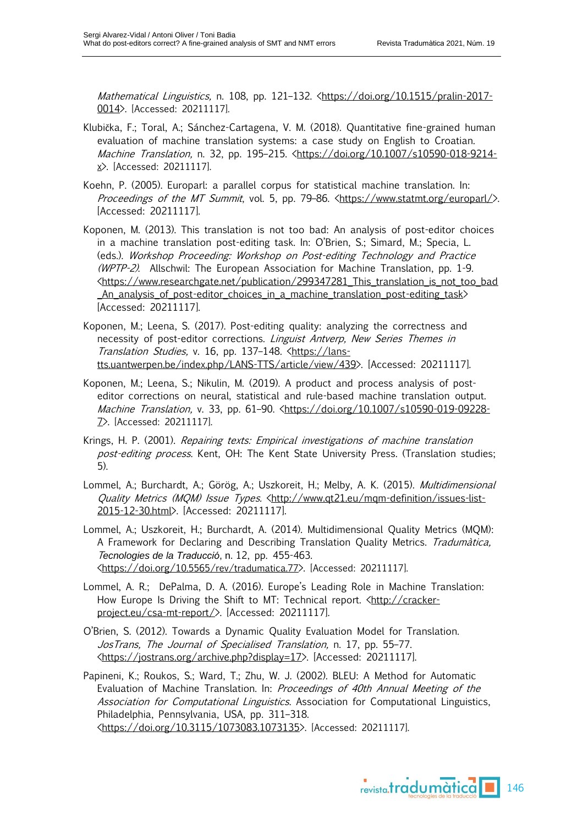Mathematical Linguistics, n. 108, pp. 121-132. [<https://doi.org/10.1515/pralin-2017-](https://doi.org/10.1515/pralin-2017-0014) [0014>](https://doi.org/10.1515/pralin-2017-0014). [Accessed: 20211117].

- Klubička, F.; Toral, A.; Sánchez-Cartagena, V. M. (2018). Quantitative fine-grained human evaluation of machine translation systems: a case study on English to Croatian. Machine Translation, n. 32, pp. 195–215. [<https://doi.org/10.1007/s10590-018-9214](https://doi.org/10.1007/s10590-018-9214-x) [x>](https://doi.org/10.1007/s10590-018-9214-x). [Accessed: 20211117].
- Koehn, P. (2005). Europarl: a parallel corpus for statistical machine translation. In: Proceedings of the MT Summit, vol. 5, pp. 79-86. [<https://www.statmt.org/europarl/>](https://www.statmt.org/europarl/). [Accessed: 20211117].
- Koponen, M. (2013). This translation is not too bad: An analysis of post-editor choices in a machine translation post-editing task. In: O'Brien, S.; Simard, M.; Specia, L. (eds.). Workshop Proceeding: Workshop on Post-editing Technology and Practice (WPTP-2). Allschwil: The European Association for Machine Translation, pp. 1-9. [<https://www.researchgate.net/publication/299347281\\_This\\_translation\\_is\\_not\\_too\\_bad](https://www.researchgate.net/publication/299347281_This_translation_is_not_too_bad_An_analysis_of_post-editor_choices_in_a_machine_translation_post-editing_task) [\\_An\\_analysis\\_of\\_post-editor\\_choices\\_in\\_a\\_machine\\_translation\\_post-editing\\_task>](https://www.researchgate.net/publication/299347281_This_translation_is_not_too_bad_An_analysis_of_post-editor_choices_in_a_machine_translation_post-editing_task) [Accessed: 20211117].
- Koponen, M.; Leena, S. (2017). Post-editing quality: analyzing the correctness and necessity of post-editor corrections. Linguist Antverp, New Series Themes in Translation Studies, v. 16, pp. 137-148. [<https://lans](https://lans-tts.uantwerpen.be/index.php/LANS-TTS/article/view/439)[tts.uantwerpen.be/index.php/LANS-TTS/article/view/439>](https://lans-tts.uantwerpen.be/index.php/LANS-TTS/article/view/439). [Accessed: 20211117].
- Koponen, M.; Leena, S.; Nikulin, M. (2019). A product and process analysis of posteditor corrections on neural, statistical and rule-based machine translation output. Machine Translation, v. 33, pp. 61-90. [<https://doi.org/10.1007/s10590-019-09228-](https://doi.org/10.1007/s10590-019-09228-7) [7>](https://doi.org/10.1007/s10590-019-09228-7). [Accessed: 20211117].
- Krings, H. P. (2001). Repairing texts: Empirical investigations of machine translation post-editing process. Kent, OH: The Kent State University Press. (Translation studies; 5).
- Lommel, A.; Burchardt, A.; Görög, A.; Uszkoreit, H.; Melby, A. K. (2015). Multidimensional Quality Metrics (MQM) Issue Types. [<http://www.qt21.eu/mqm-definition/issues-list-](http://www.qt21.eu/mqm-definition/issues-list-2015-12-30.html)[2015-12-30.html>](http://www.qt21.eu/mqm-definition/issues-list-2015-12-30.html). [Accessed: 20211117].
- Lommel, A.; Uszkoreit, H.; Burchardt, A. (2014). Multidimensional Quality Metrics (MQM): A Framework for Declaring and Describing Translation Quality Metrics. Tradumàtica, T*ecnologies de la Traducció*, n. 12, pp. 455-463. [<https://doi.org/](https://doi.org/10.5565/rev/tradumatica.77)[10.5565/rev/tradumatica.77](https://doi.org/10.5565/rev/tradumatica.77)>. [Accessed: 20211117].
- Lommel, A. R.; DePalma, D. A. (2016). Europe's Leading Role in Machine Translation: How Europe Is Driving the Shift to MT: Technical report. [<http://cracker](http://cracker-project.eu/csa-mt-report/)[project.eu/csa-mt-report/>](http://cracker-project.eu/csa-mt-report/). [Accessed: 20211117].
- O'Brien, S. (2012). Towards a Dynamic Quality Evaluation Model for Translation. JosTrans, The Journal of Specialised Translation, n. 17, pp. 55–77. [<https://jostrans.org/archive.php?display=17>](https://jostrans.org/archive.php?display=17). [Accessed: 20211117].

Papineni, K.; Roukos, S.; Ward, T.; Zhu, W. J. (2002). BLEU: A Method for Automatic Evaluation of Machine Translation. In: Proceedings of 40th Annual Meeting of the Association for Computational Linguistics. Association for Computational Linguistics, Philadelphia, Pennsylvania, USA, pp. 311–318. [<https://doi.org/10.3115/1073083.1073135>](https://doi.org/10.3115/1073083.1073135). [Accessed: 20211117].